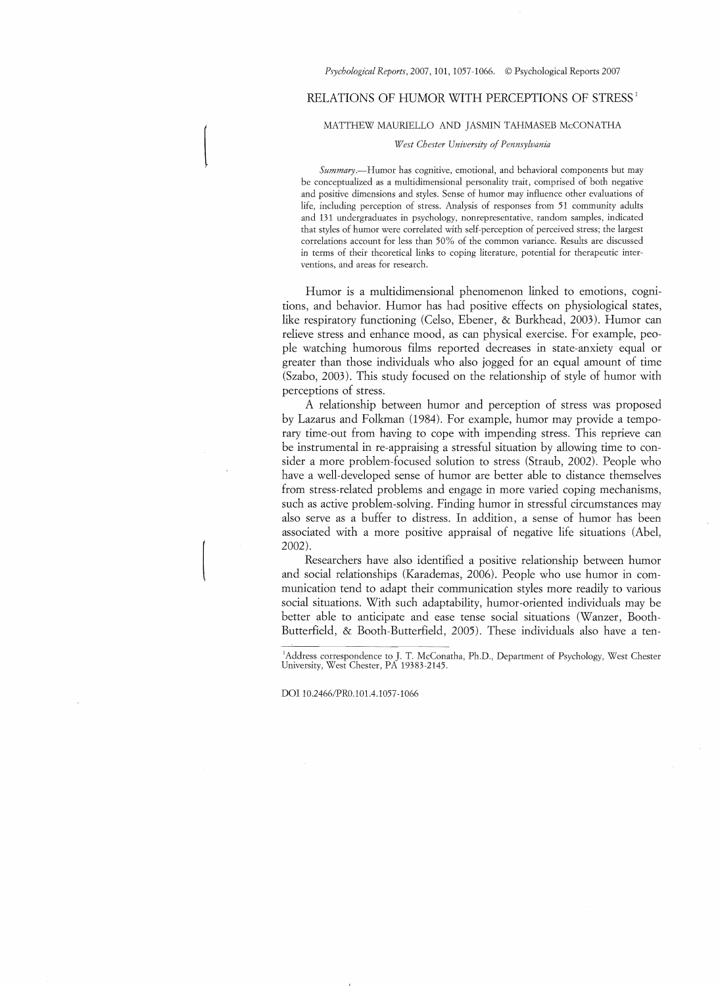### Psychological Reports, 2007, 101, 1057-1066. © Psychological Reports 2007

## RELATIONS OF HUMOR WITH PERCEPTIONS OF STRESS<sup>1</sup>

MATTHEW MAURIELLO AND JASMIN TAHMASEB McCONATHA

*West Chester University* 0/ *Pennsylvania* 

*Summary.-Humor* has cognitive, emotional, and behavioral components but may be conceptualized as a multidimensional personality trait, comprised of both negative and positive dimensions and styles. Sense of humor may influence other evaluations of life, including perception of stress. Analysis of responses from 51 community adults and 131 undergraduates in psychology. nonrepresentative, random samples, indicated that styles of humor were correlated with self-perception of perceived stress; the largest correlations account for less than 50% of the common variance. Results are discussed in terms of their theoretical links to coping literature, potential for therapeutic interventions, and areas for research.

Humor is a multidimensional phenomenon linked to emotions, cognitions, and behavior. Humor has had positive effects on physiological states, like respiratory functioning (Celso, Ebener, & Burkhead, 2003). Humor can relieve stress and enhance mood, as can physical exercise. For example, people watching humorous films reported decreases in state-anxiety equal or greater than those individuals who also jogged for an equal amount of time (Szabo, 2003). This study focused on the relationship of style of humor with perceptions of stress.

A relationship between humor and perception of stress was proposed by Lazarus and Folkman (1984). For example, humor may provide a temporary time-out from having to cope with impending stress. This reprieve can be instrumental in re-appraising a stressful situation by allowing time to consider a more problem-focused solution to stress (Straub, 2002). People who have a well-developed sense of humor are better able to distance themselves from stress-related problems and engage in more varied coping mechanisms, such as active problem-solving. Finding humor in stressful circumstances may also serve as a buffer to distress. In addition, a sense of humor has been associated with a more positive appraisal of negative life situations (Abel, 2002).

Researchers have also identified a positive relationship between humor and social relationships (Karademas, 2006). People who use humor in communication tend to adapt their communication styles more readily to various social situations. With such adaptability, humor-oriented individuals may be better able to anticipate and ease tense social situations (Wanzer, Booth-Butterfield, & Booth-Butterfield, 2005). These individuals also have a ten

'Address correspondence to J. T. McConatha, Ph.D., Department of Psychology, West Chester<br>University, West Chester, PA 19383-2145.

DOl *10.2466IPRO.101.4.1057 -1066* 

 $\begin{bmatrix} \phantom{-} \\ \phantom{-} \end{bmatrix}$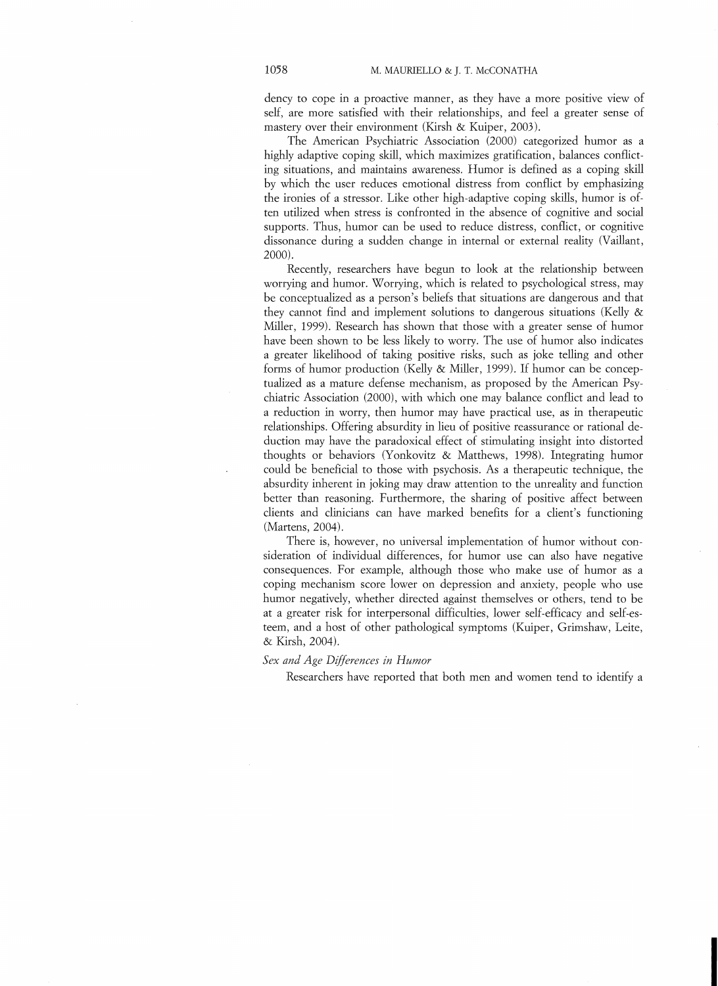dency to cope in a proactive manner, as they have a more positive view of self, are more satisfied with their relationships, and feel a greater sense of mastery over their environment (Kirsh & Kuiper, 2003),

The American Psychiatric Association (2000) categorized humor as a highly adaptive coping skill, which maximizes gratification, balances conflicting situations, and maintains awareness. Humor is defined as a coping skill by which the user reduces emotional distress from conflict by emphasizing the ironies of a stressor. Like other high-adaptive coping skills, humor is often utilized when stress is confronted in the absence of cognitive and social supports. Thus, humor can be used to reduce distress, conflict, or cognitive dissonance during a sudden change in internal or external reality (Vaillant, 2000).

Recently, researchers have begun to look at the relationship between worrying and humor. Worrying, which is related to psychological stress, may be conceptualized as a person's beliefs that situations are dangerous and that they cannot find and implement solutions to dangerous situations (Kelly & Miller, 1999). Research has shown that those with a greater sense of humor have been shown to be less likely to worry. The use of humor also indicates a greater likelihood of taking positive risks, such as joke telling and other forms of humor production (Kelly & Miller, 1999). If humor can be conceptualized as a mature defense mechanism, as proposed by the American Psychiatric Association (2000), with which one may balance conflict and lead to a reduction in worry, then humor may have practical use, as in therapeutic relationships. Offering absurdity in lieu of positive reassurance or rational deduction may have the paradoxical effect of stimulating insight into distorted thoughts or behaviors (Yonkovitz & Matthews, 1998). Integrating humor could be beneficial to those with psychosis. As a therapeutic technique, the absurdity inberent in joking may draw attention to tbe unreality and function better than reasoning. Furthermore, the sharing of positive affect between clients and clinicians can have marked henefits for a client's functioning (Martens, 2004).

There is, however, no universal implementation of humor without consideration of individual differences, for humor use can also have negative consequences. For example, although those who make use of humor as a coping mechanism score lower on depression and anxiety, people who use humor negatively, whether directed against themselves or others, tend to be at a greater risk for interpersonal difficulties, lower self-efficacy and self-esteem, and a host of other pathological symptoms (Kuiper, Grimshaw, Leite, & Kirsh, 2004).

## Sex and Age Differences in Humor

Researchers have reported that both men and women tend to identify a

**I**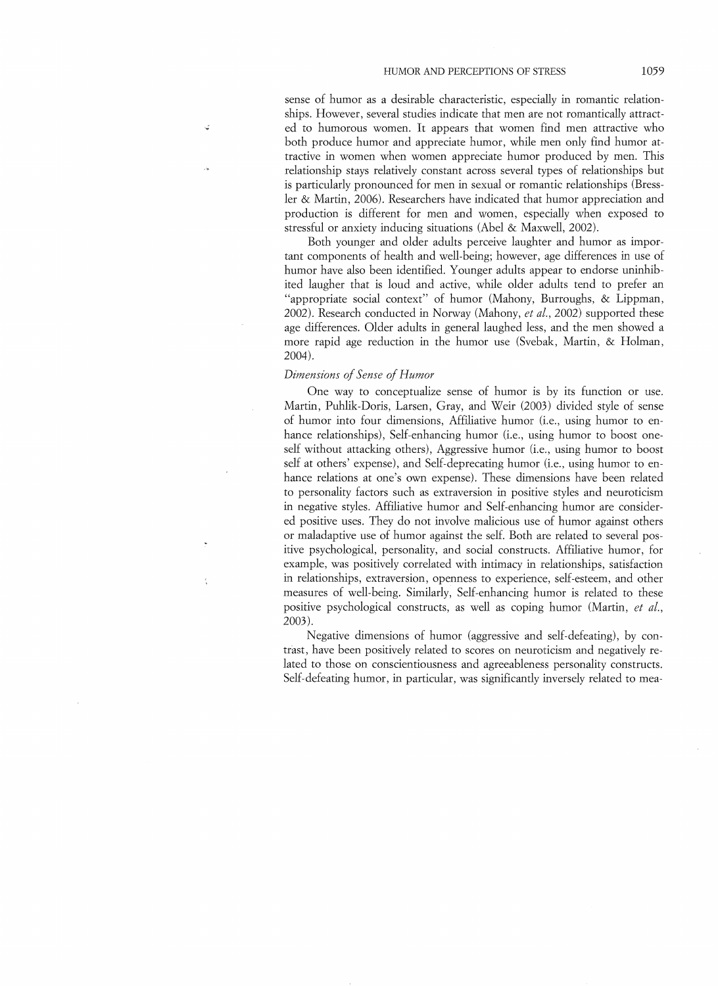sense of humor as a desirable characteristic, especially in romantic relationships. However, several studies indicate that men are not romantically attracted to humorous women. It appears that women find men attractive who both produce humor and appreciate humor, while men only find humor attractive in women when women appreciate humor produced by men. This relationship stays relatively constant across several types of relationships but is particularly pronounced for men in sexual or romantic relationships (Bressler & Martin, 2006). Researchers have indicated that humor appreciation and production is different for men and women, especially when exposed to stressful or anxiety inducing situations (Abel & Maxwell, 2002).

Both younger and older adults perceive laughter and humor as important components of health and well-being; however, age differences in use of humor have also been identified. Younger adults appear to endorse uninhibited laugher that is loud and active, while older adults tend to prefer an "appropriate social context" of humor (Mahony, Burroughs, & Lippman, 2002). Research conducted in Nonvay (Mahony, *el al.,* 2002) supported these age differences. Older adults in general laughed less, and the men showed a more rapid age reduction in the humor use (Svebak, Martin, & Holman, 2004).

## *Dimensions of Sense of Humor*

ú

One way to conceptualize sense of humor is by its function or use. Martin, Puhlik-Doris, Larsen, Gray, and Weir (2003) divided style of sense of humor into four dimensions, Affiliative humor (i.e., using humor to enhance relationships), Self-enhancing humor (i.e., using humor to boost oneself without attacking others), Aggressive humor (i.e., using humor to boost self at others' expense), and Self-deprecating humor (i.e., using humor to enhance relations at one's own expense). These dimensions have been related to personality factors such as extraversion in positive styles and neuroticism in negative styles. Affiliative humor and Self-enhancing humor are considered positive uses. They do not involve malicious use of humor against others or maladaptive use of humor against the self. Both are related to several positive psychological, personality, and social constructs. Affiliative humor, for example, was positively correlated with intimacy in relationships, satisfaction in relationships, extraversion, openness to experience, self-esteem, and other measures of well-being. Similarly, Self-enhancing humor is related to these positive psychological constructs, as well as coping humor (Martin, *et al.,*  2003).

Negative dimensions of humor (aggressive and self-defeating), by contrast, have been positively related to scores on neuroticism and negatively related to those on conscientiousness and agreeableness personality constructs. Self-defeating humor, in particular, was significantly inversely related to mea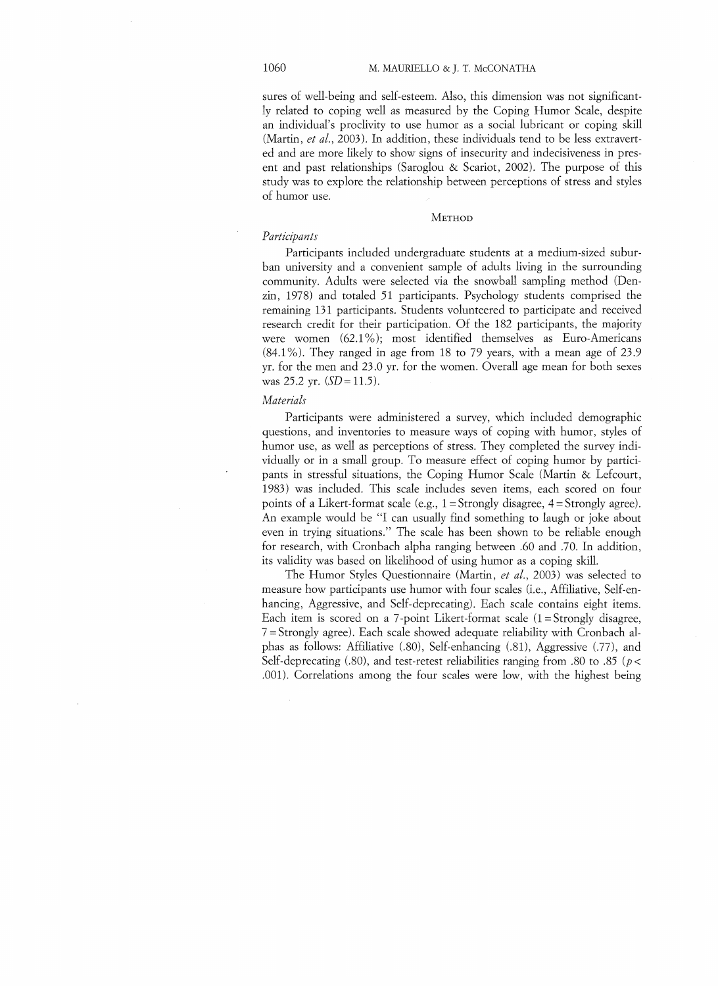sures of well-being and self-esteem. Also, this dimension was not significantly related to coping well as measured by the Coping Humor Scale, despite an individual's proclivity to use humor as a social lubricant or coping skill (Martin, *et al.,* 2003). **In** addition, these individuals tend to be less extraverted and are more likely to show signs of insecurity and indecisiveness in present and past relationships (Saroglou & Scariot, 2002). The purpose of this study was to explore the relationship between perceptions of stress and styles of humor use.

### METHOD

## *Participants*

Participants included undergraduate students at a medium-sized suburban university and a convenient sample of adults living in the surrounding community. Adults were selected via the snowball sampling method (Denzin, 1978) and totaled 51 participants. Psychology students comprised the remaining 131 participants. Students volunteered to participate and received research credit for their participation. Of the 182 participants, the majority were women  $(62.1\%)$ ; most identified themselves as Euro-Americans  $(84.1\%)$ . They ranged in age from 18 to 79 years, with a mean age of 23.9 yr. for the men and 23.0 yr. for the women. Overall age mean for both sexes was 25.2 yr. *(SD= 11.5).* 

## *Materials*

Participants were administered a survey, which included demographic questions, and inventories to measure ways of coping with humor, styles of humor use, as well as perceptions of stress. They completed the survey individually or in a small group. To measure effect of coping humor by participants in stressful situations, the Coping Humor Scale (Martin & Lefcourt, 1983) was included. This scale includes seven items, each scored on four points of a Likert-format scale (e.g.,  $1 =$ Strongly disagree,  $4 =$ Strongly agree). An example would be "I can usually find something to laugh or joke about even in trying situations." The scale has been shown to be reliable enough for research, with Cronbach alpha ranging between .60 and .70. In addition, its validity was based on likelihood of using humor as a coping skill.

The Humor Styles Questionnaire (Martin, *et al.*, 2003) was selected to measure how participants use humor with four scales (i.e., Affiliative, Self-enhancing, Aggressive, and Self-deprecating). Each scale contains eight items. Each item is scored on a 7-point Likert-format scale  $(1 = \text{Strongly disagree},$ 7 =Strongly agree). Each scale showed adequate reliability with Cronbach alphas as follows: Affiliative (.80), Self-enhancing (.81), Aggressive (.77), and Self-deprecating (.80), and test-retest reliabilities ranging from .80 to .85 ( $p \lt \theta$ ) .(01). Correlations among the four scales were low, with the highest being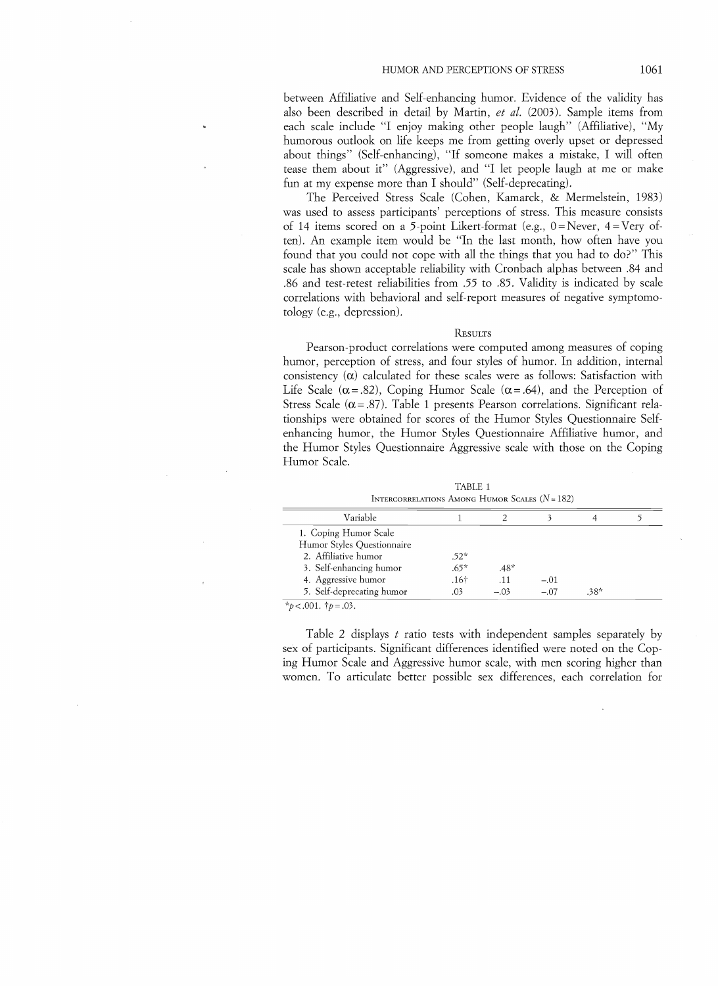between Affiliative and Self-enhancing humor. Evidence of the validity has also been described in detail by Martin, *et al.* (2003). Sample items from each scale include "I enjoy making other people laugh" (Affiliative), "My humorous outlook on life keeps me from getting overly upset or depressed about things" (Self-enhancing), "If someone makes a mistake, I will often tease them about it" (Aggressive), and "I let people laugh at me or make fun at my expense more than I should" (Self-deprecating).

The Perceived Stress Scale (Cohen, Kamarck, & Mermelstein, 1983) was used to assess participants' perceptions of stress. This measure consists of 14 items scored on a 5-point Likert-format (e.g., 0= Never, 4=Very often). An example item would be "In the last month, how often have you found that you could not cope with all the things that you had to do?" This scale has shown acceptable reliability with Cronbach alphas between .84 and .86 and test-retest reliabilities from .55 to .85. Validity is indicated by scale correlations with behavioral and self-report measures of negative symptomotology (e.g., depression).

#### RESULTS

Pearson-product correlations were computed among measures of coping humor, perception of stress, and four styles of humor. In addition, internal consistency  $(\alpha)$  calculated for these scales were as follows: Satisfaction with Life Scale ( $\alpha$ =.82), Coping Humor Scale ( $\alpha$ =.64), and the Perception of Stress Scale ( $\alpha$  = .87). Table 1 presents Pearson correlations. Significant relationships were obtained for scores of the Humor Styles Questionnaire Selfenhancing humor, the Humor Styles Questionnaire Affiliative humor, and the Humor Styles Questionnaire Aggressive scale with those on the Coping Humor Scale.

| INTERCORRELATIONS AMONG HUMOR SCALES $(N = 182)$ |        |        |        |      |  |
|--------------------------------------------------|--------|--------|--------|------|--|
| Variable                                         |        |        |        |      |  |
| 1. Coping Humor Scale                            |        |        |        |      |  |
| Humor Styles Questionnaire                       |        |        |        |      |  |
| 2. Affiliative humor                             | $.52*$ |        |        |      |  |
| 3. Self-enhancing humor                          | $.65*$ | $.48*$ |        |      |  |
| 4. Aggressive humor                              | .16†   | .11    | $-.01$ |      |  |
| 5. Self-deprecating humor                        | .03    | $-.03$ | $-.07$ | .38* |  |

TABLE 1

*\*p<.OO1. tp=.03.* 

Table 2 displays t ratio tests with independent samples separately by sex of participants. Significant differences identified were noted on the Coping Humor Scale and Aggressive humor scale, with men scoring higher than women. To articulate better possible sex differences, each correlation for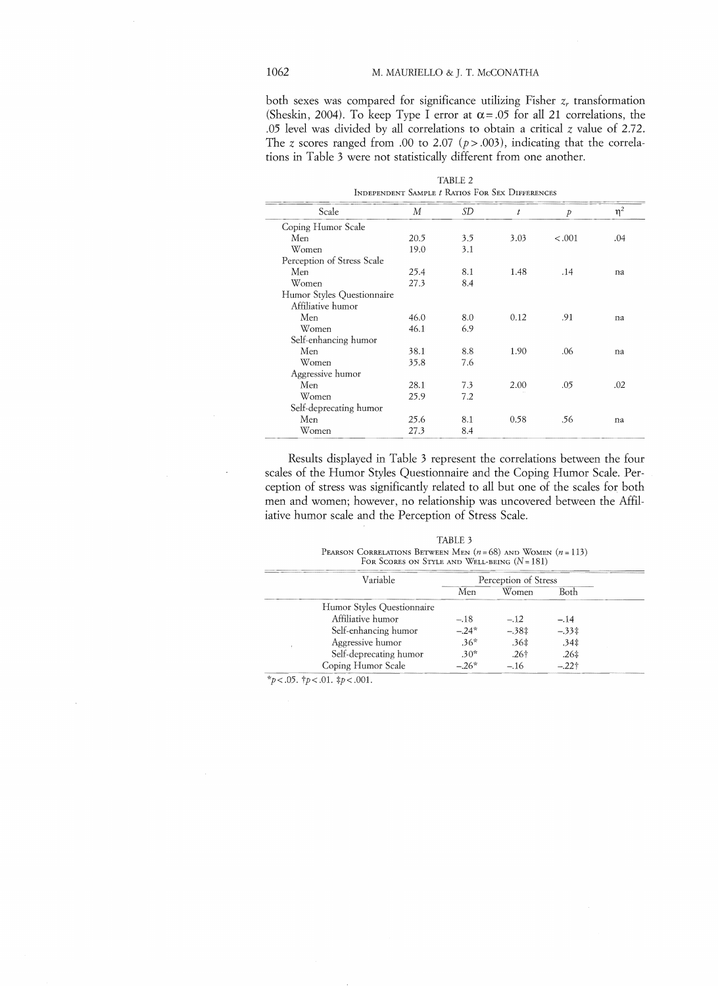# 1062 M. MAURIELLO & J. T. McCONATHA

both sexes was compared for significance utilizing Fisher  $z_r$  transformation (Sheskin, 2004). To keep Type I error at  $\alpha$  = .05 for all 21 correlations, the .05 level was divided by all correlations to obtain a critical  $\zeta$  value of 2.72. The *z* scores ranged from .00 to 2.07 ( $p$  > .003), indicating that the correlations in Table 3 were not statistically different from one another.

|                            |      | TABLE 2<br>INDEPENDENT SAMPLE <i>t</i> RATIOS FOR SEX DIFFERENCES |      |               |          |
|----------------------------|------|-------------------------------------------------------------------|------|---------------|----------|
| Scale                      | М    | SD                                                                | t    | $\mathcal{P}$ | $\eta^2$ |
| Coping Humor Scale         |      |                                                                   |      |               |          |
| Men                        | 20.5 | 3.5                                                               | 3.03 | $-.001$       | .04      |
| Women                      | 19.0 | 3.1                                                               |      |               |          |
| Perception of Stress Scale |      |                                                                   |      |               |          |
| Men                        | 25.4 | 8.1                                                               | 1.48 | .14           | na       |
| Women                      | 27.3 | 8.4                                                               |      |               |          |
| Humor Styles Questionnaire |      |                                                                   |      |               |          |
| Affiliative humor          |      |                                                                   |      |               |          |
| Men                        | 46.0 | 8.0                                                               | 0.12 | .91           | na       |
| Women                      | 46.1 | 6.9                                                               |      |               |          |
| Self-enhancing humor       |      |                                                                   |      |               |          |
| Men                        | 38.1 | 8.8                                                               | 1.90 | .06           | na       |
| Women                      | 35.8 | 7.6                                                               |      |               |          |
| Aggressive humor           |      |                                                                   |      |               |          |
| Men                        | 28.1 | 7.3                                                               | 2.00 | .05           | .02      |
| Women                      | 25.9 | 7.2                                                               |      |               |          |
| Self-deprecating humor     |      |                                                                   |      |               |          |
| Men                        | 25.6 | 8.1                                                               | 0.58 | .56           | na       |
| Women                      | 27.3 | 8.4                                                               |      |               |          |

Results displayed in Table 3 represent the correlations between the four scales of the Humor Styles Questionnaire and the Coping Humor Scale. Perception of stress was significantly related to all but one of the scales for both men and women; however, no relationship was uncovered between the AffiIiative humor scale and the Perception of Stress Scale.

| TABLE 3                                                       |
|---------------------------------------------------------------|
| PEARSON CORRELATIONS BETWEEN MEN $(n=68)$ and WOMEN $(n=113)$ |
| FOR SCORES ON STYLE AND WELL-BEING $(N = 181)$                |

| Variable                   | Perception of Stress |         |                  |
|----------------------------|----------------------|---------|------------------|
|                            | Men                  | Women   | Both             |
| Humor Styles Questionnaire |                      |         |                  |
| Affiliative humor          | $-.18$               | $-.12$  | $-.14$           |
| Self-enhancing humor       | $-24*$               | $-.38‡$ | $-.33\ddagger$   |
| Aggressive humor           | $.36*$               | .36±    | $.34\pm$         |
| Self-deprecating humor     | $.30*$               | $.26+$  | .26 <sup>‡</sup> |
| Coping Humor Scale         | $-26*$               | $-.16$  | $-22$ †          |

 $\frac{*}{p}$ <.05.  $\frac{1}{p}$ <.01.  $\frac{1}{p}$ <.001.

 $\overline{\phantom{a}}$ 

 $\overline{\phantom{a}}$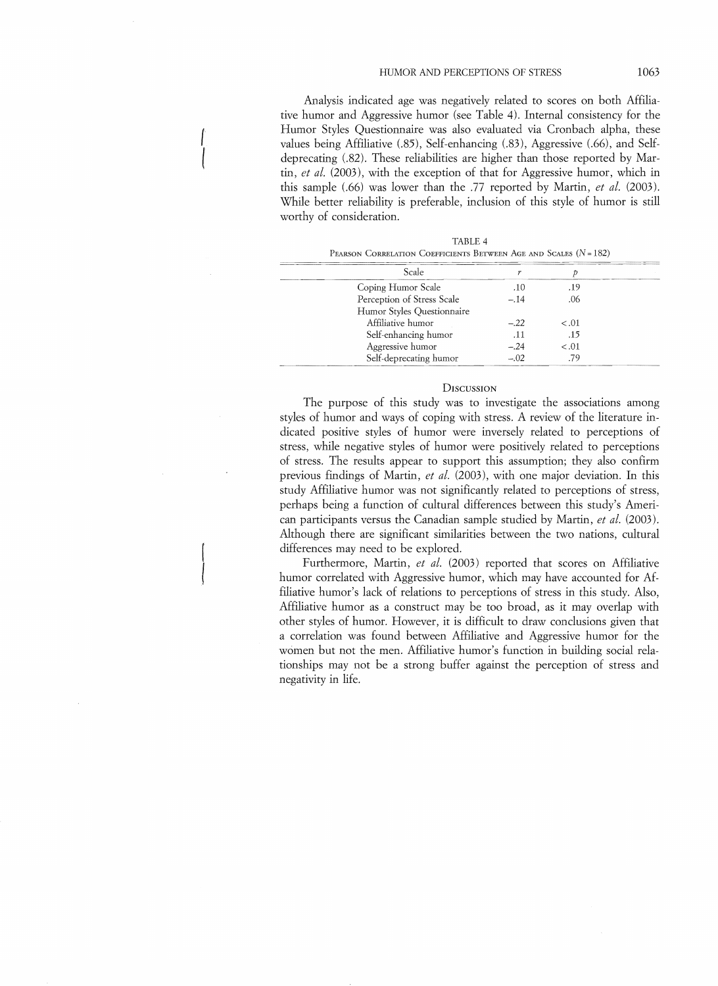Analysis indicated age was negatively related to scores on both Affiliative humor and Aggressive humor (see Table 4). Internal consistency for the Humor Styles Questionnaire was also evaluated via Cronbach alpha, these values being Affiliative (.85), Self-enhancing (.83), Aggressive (.66), and Selfdeprecating (.82). These reliabilities are higher than those reported by Martin, *et al.* (2003), with the exception of that for Aggressive humor, which in this sample (.66) was lower than the .77 reported by Martin, *et al.* (2003). While better reliability is preferable, inclusion of this style of humor is still worthy of consideration.

 $\overline{ \ }$ 

| $\pm$ EXROUN CORNELITION COLLIGIBITO DEI WEEN TRIE HIJD OCHEED (FT = 102) |        |        |  |
|---------------------------------------------------------------------------|--------|--------|--|
| Scale                                                                     |        |        |  |
| Coping Humor Scale                                                        | .10    | .19    |  |
| Perception of Stress Scale                                                | $-.14$ | .06    |  |
| Humor Styles Ouestionnaire                                                |        |        |  |
| Affiliative humor                                                         | $-.22$ | < 0.01 |  |
| Self-enhancing humor                                                      | .11    | .15    |  |
| Aggressive humor                                                          | $-.24$ | $-.01$ |  |
| Self-deprecating humor                                                    | $-.02$ | .79    |  |

| TABLE 4                                                         |
|-----------------------------------------------------------------|
| Pearson Correlation Coefficients Between Age and Scales (N=182) |
|                                                                 |

 $TATL$ 

## **DISCUSSION**

The purpose of this study was to investigate the associations among styles of humor and ways of coping with stress. A review of the literature indicated positive styles of humor were inversely related to perceptions of stress, while negative styles of humor were positively related to perceptions of stress. The results appear to support this assumption; they also confirm previous findings of Martin, *et al.* (2003), with one major deviation. In this study Affiliative humor was not significantly related to perceptions of stress, perhaps being a function of cultural differences between this study's American participants versus the Canadian sample studied by Martin, *et al.* (2003). Although there are significant similarities between the two nations, cultural differences may need to be explored.

Furthermore, Martin, *et al.* (2003) reported that scores on Affiliative humor correlated with Aggressive humor, which may have accounted for Affiliative humor's lack of relations to perceptions of stress in this study. Also, AHiliative humor as a construct may be too broad, as it may overlap with other styles of humor. However, it is difficult to draw conclusions given that a correlation was found between Affiliative and Aggressive humor for the women but not the men. Affiliative humor's function in building social relationships may not be a strong buffer against the perception of stress and negativity in life.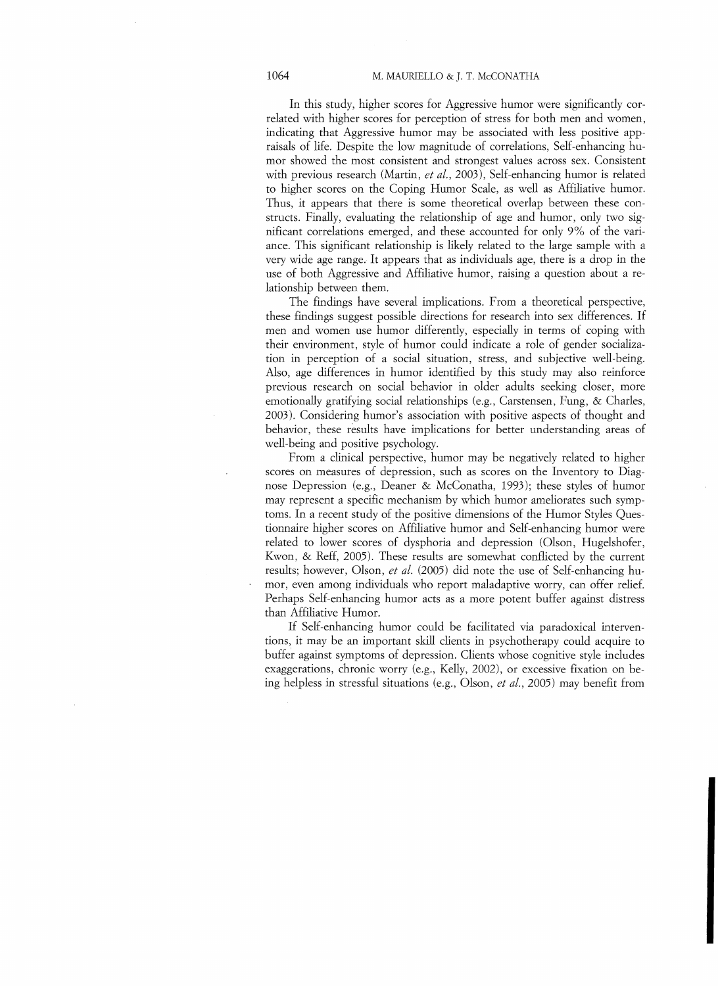## 1064 M. MAURIELLO & J. T. McCONATHA

In this study, higher scores for Aggressive humor were significantly correlated with higher scores for perception of stress for both men and women, indicating that Aggressive humor may be associated with less positive appraisals of life. Despite the low magnitude of correlations, Self-enhancing humor showed the most consistent and strongest values across sex. Consistent with previous research (Martin, *ct al.,* 2003), Self-enhancing humor is related to higher scores on the Coping Humor Scale, as well as Affiliative humor. Thus, it appears that there is some theoretical overlap between these constructs. Finally, evaluating the relationship of age and humor, only two significant correlations emerged, and these accounted for only 9% of the variance. This significant relationship is likely related to the large sample with a very wide age range. It appears that as individuals age, there is a drop in the use of both Aggressive and Affiliative humor, raising a question about a relationship between them.

The findings have several implications. From a theoretical perspective, these findings suggest possible directions for research into sex differences. If men and women use humor differently, especially in terms of coping with their environment, style of humor could indicate a role of gender socialization in perception of a social situation, stress, and subjective well-being. Also, age differences in humor identified by this study may also reinforce previous research on social behavior in older adults seeking closer, more emotionally gratifying social relationships (e.g., Carstensen, Fung, & Charles, 2003). Considering humor's association with positive aspects of thought and behavior, these results have implications for better understanding areas of well-being and positive psychology.

From a clinical perspective, humor may be negatively related to higher scores on measures of depression, such as scores on the Inventory to Diagnose Depression (e.g., Deaner & McConatha, 1993); these styles of humor may represent a specific mechanism by which humor ameliorates such symptoms. In a recent study of the positive dimensions of the Humor Styles Questionnaire higher scores on Affiliative humor and Self-enhancing humor were related to lower scores of dysphoria and depression (Olson, Hugelshofer, Kwon, & Reff, 2005). These results are somewhat conflicted by the current results; however, Olson, *ct al.* (2005) did note the use of Self-enhancing humor, even among individuals who report maladaptive worry, can offer relief. Perhaps Self-enhancing humor acts as a more potent buffer against distress than Affiliative Humor.

If Self-enhancing humor could be facilitated via paradoxical interventions, it may be an important skill clients in psychotherapy could acquire to buffer against symptoms of depression. Clients whose cognitive style includes exaggerations, chronic worry (e.g., Kelly, 2002), or excessive fixation on being helpless in stressful situations (e.g., Olson, *et al.,* 2005) may benefit from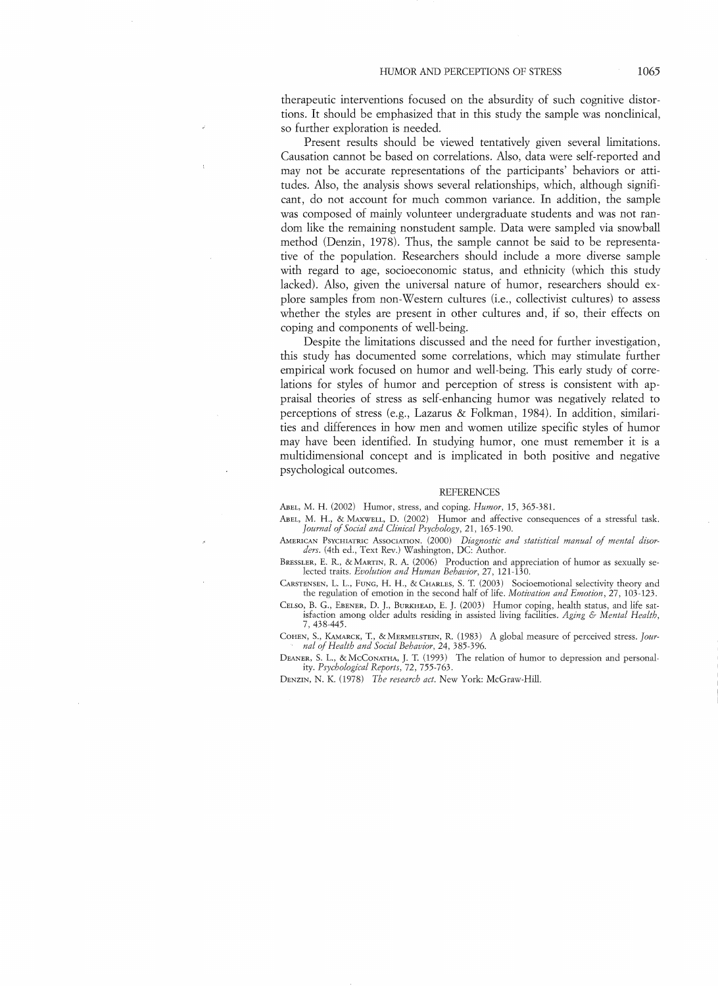therapeutic interventions focused on the absurdity of such cognitive distortions. It should be emphasized that in this study the sample was nonclinical, so further exploration is needed.

Present results should be viewed tentatively given several limitations. Causation cannot be based on correlations. Also, data were self-reported and may not be accurate representations of the participants' behaviors or attitudes. Also, the analysis shows several relationships, which, although significant, do not account for much common variance. In addition, the sample was composed of mainly volunteer undergraduate students and was not random like the remaining nonstudent sample. Data were sampled via snowball method (Denzin, 1978). Thus, the sample cannot be said to be representative of the population. Researchers should include a more diverse sample with regard to age, socioeconomic status, and ethnicity (which this study lacked). Also, given the universal nature of humor, researchers should explore samples from non-Western cultures (i.e., collectivist cultures) to assess whether the styles are present in other cultures and, if so, their effects on coping and components of well-being.

Despite the limitations discussed and the need for further investigation, this study has documented some correlations, which may stimulate further empirical work focused on humor and well-being. This early study of correlations for styles of humor and perception of stress is consistent with appraisal theories of stress as self-enhancing humor was negatively related to perceptions of stress (e.g., Lazarus & Folkman, 1984). In addition, similarities and differences in how men and women utilize specific styles of humor may have been identified. In studying humor, one must remember it is a multidimensional concept and is implicated in both positive and negative psychological outcomes.

#### **REFERENCES**

ABEL, M. H. (2002) Humor, stress, and coping. *Humor*, 15, 365-381.

ABEL, M. H., & MAXWELL, D. (2002) Humor and affective consequences of a stressful task. Journal of Social and Clinical Psychology, 21, 165-190.

AMERICAN PSYCHIATRIC ASSOCIATIOK. (2000) *Dzagnostic and statistical manual* 0/ *mental disor-ders.* (4th ed., Text Rev.) Washington, DC: Author.

BRESSLER, E. R., &MARTIK, R. A. (2006) Production and appreciation of humor as sexually selected traits. *Evolution and Human Behavior,* 27, 121-130.

CARSTENSEN, L. L., FUNG, H. H., & CHARLES, S. T (2003) Socioemotional selectivity theory ancl the regulation of emotion in the second half of life. *Motivation and Emotion,* 27, 103-123.

CELSO, B. G., EBENER, D. J., BURKHEAD, E. ]. (2003) Humor coping, health status, and life satisfaction among older adults residing in assisted living facilities. Aging & Mental Health, 7,438-445.

COHEN, S., KAMARCK, T., & MERMELSTEIN, R. (1983) A global measure of perceived stress. *Journal* 0/ *Health and Soczal Behavior,* 24, 385-396. .

DEANER, S. L., & McCONATHA, J. T. (1993) The relation of humor to depression and personality. *Psychological Reports,* 72, 755-763.

DENZIN, N. K. (1978) *The research act.* New York: McGraw-Hill.